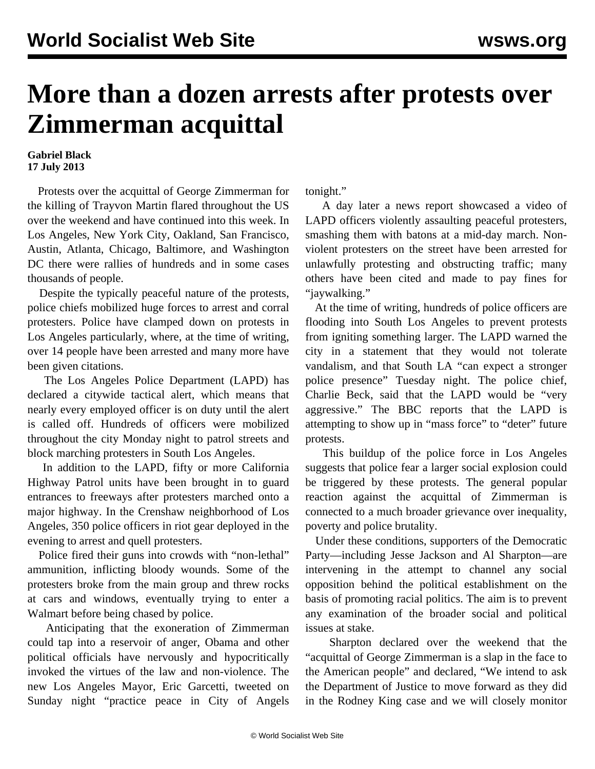## **More than a dozen arrests after protests over Zimmerman acquittal**

## **Gabriel Black 17 July 2013**

 Protests over the acquittal of George Zimmerman for the killing of Trayvon Martin flared throughout the US over the weekend and have continued into this week. In Los Angeles, New York City, Oakland, San Francisco, Austin, Atlanta, Chicago, Baltimore, and Washington DC there were rallies of hundreds and in some cases thousands of people.

 Despite the typically peaceful nature of the protests, police chiefs mobilized huge forces to arrest and corral protesters. Police have clamped down on protests in Los Angeles particularly, where, at the time of writing, over 14 people have been arrested and many more have been given citations.

 The Los Angeles Police Department (LAPD) has declared a citywide tactical alert, which means that nearly every employed officer is on duty until the alert is called off. Hundreds of officers were mobilized throughout the city Monday night to patrol streets and block marching protesters in South Los Angeles.

 In addition to the LAPD, fifty or more California Highway Patrol units have been brought in to guard entrances to freeways after protesters marched onto a major highway. In the Crenshaw neighborhood of Los Angeles, 350 police officers in riot gear deployed in the evening to arrest and quell protesters.

 Police fired their guns into crowds with "non-lethal" ammunition, inflicting bloody wounds. Some of the protesters broke from the main group and threw rocks at cars and windows, eventually trying to enter a Walmart before being chased by police.

 Anticipating that the exoneration of Zimmerman could tap into a reservoir of anger, Obama and other political officials have nervously and hypocritically invoked the virtues of the law and non-violence. The new Los Angeles Mayor, Eric Garcetti, tweeted on Sunday night "practice peace in City of Angels

tonight."

 A day later a news report [showcased](http://www.nbclosangeles.com/news/local/Protesters-Shut-Down-10-Freeway-215462921.html) a video of LAPD officers violently assaulting peaceful protesters, smashing them with batons at a mid-day march. Nonviolent protesters on the street have been arrested for unlawfully protesting and obstructing traffic; many others have been cited and made to pay fines for "jaywalking."

 At the time of writing, hundreds of police officers are flooding into South Los Angeles to prevent protests from igniting something larger. The LAPD warned the city in a statement that they would not tolerate vandalism, and that South LA "can expect a stronger police presence" Tuesday night. The police chief, Charlie Beck, said that the LAPD would be "very aggressive." The BBC reports that the LAPD is attempting to show up in "mass force" to "deter" future protests.

 This buildup of the police force in Los Angeles suggests that police fear a larger social explosion could be triggered by these protests. The general popular reaction against the acquittal of Zimmerman is connected to a much broader grievance over inequality, poverty and police brutality.

 Under these conditions, supporters of the Democratic Party—including Jesse Jackson and Al Sharpton—are intervening in the attempt to channel any social opposition behind the political establishment on the basis of promoting racial politics. The aim is to prevent any examination of the broader social and political issues at stake.

 Sharpton declared over the weekend that the "acquittal of George Zimmerman is a slap in the face to the American people" and declared, "We intend to ask the Department of Justice to move forward as they did in the Rodney King case and we will closely monitor